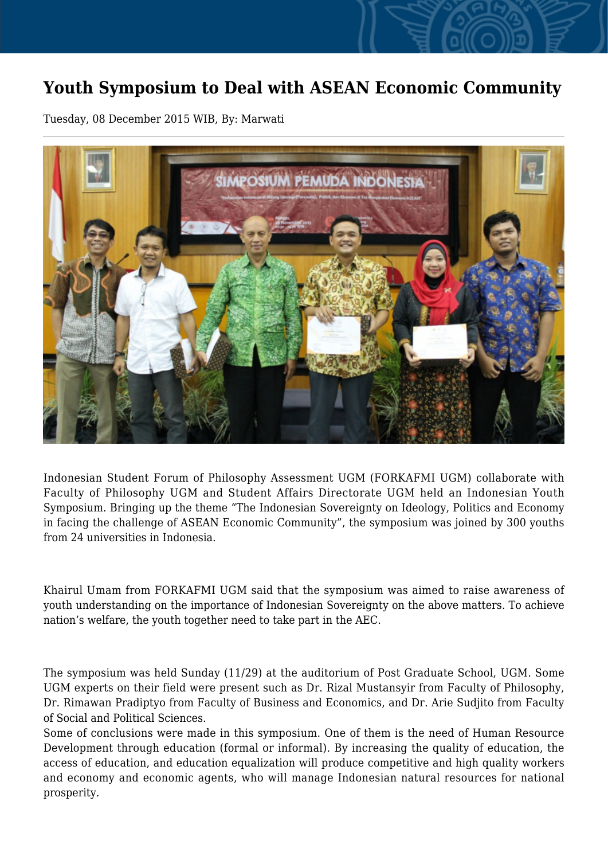## **Youth Symposium to Deal with ASEAN Economic Community**

Tuesday, 08 December 2015 WIB, By: Marwati



Indonesian Student Forum of Philosophy Assessment UGM (FORKAFMI UGM) collaborate with Faculty of Philosophy UGM and Student Affairs Directorate UGM held an Indonesian Youth Symposium. Bringing up the theme "The Indonesian Sovereignty on Ideology, Politics and Economy in facing the challenge of ASEAN Economic Community", the symposium was joined by 300 youths from 24 universities in Indonesia.

Khairul Umam from FORKAFMI UGM said that the symposium was aimed to raise awareness of youth understanding on the importance of Indonesian Sovereignty on the above matters. To achieve nation's welfare, the youth together need to take part in the AEC.

The symposium was held Sunday (11/29) at the auditorium of Post Graduate School, UGM. Some UGM experts on their field were present such as Dr. Rizal Mustansyir from Faculty of Philosophy, Dr. Rimawan Pradiptyo from Faculty of Business and Economics, and Dr. Arie Sudjito from Faculty of Social and Political Sciences.

Some of conclusions were made in this symposium. One of them is the need of Human Resource Development through education (formal or informal). By increasing the quality of education, the access of education, and education equalization will produce competitive and high quality workers and economy and economic agents, who will manage Indonesian natural resources for national prosperity.